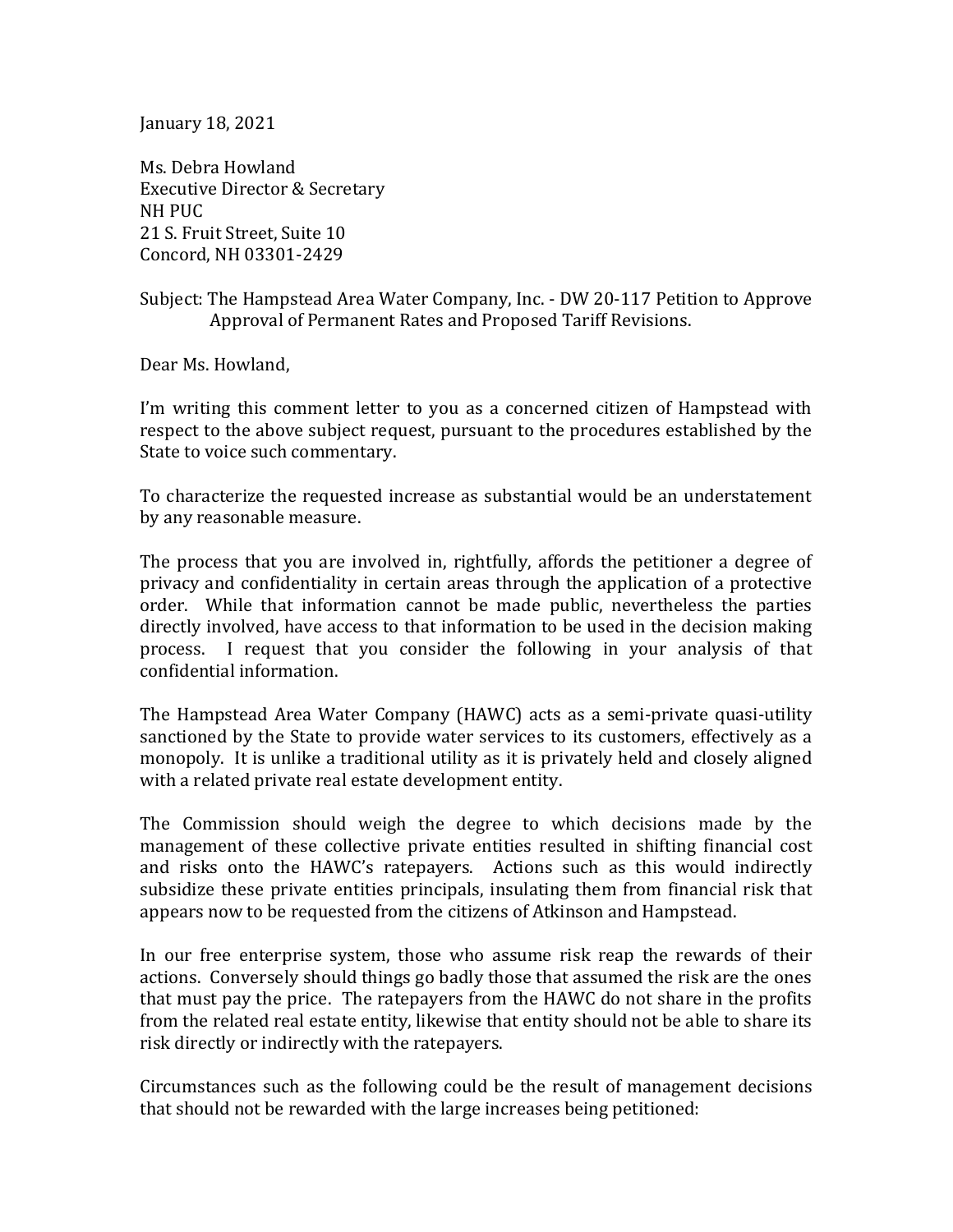January 18, 2021

Ms. Debra Howland Executive Director & Secretary NH PUC 21 S. Fruit Street, Suite 10 Concord, NH 03301-2429

Subject: The Hampstead Area Water Company, Inc. - DW 20-117 Petition to Approve Approval of Permanent Rates and Proposed Tariff Revisions.

Dear Ms. Howland,

I'm writing this comment letter to you as a concerned citizen of Hampstead with respect to the above subject request, pursuant to the procedures established by the State to voice such commentary.

To characterize the requested increase as substantial would be an understatement by any reasonable measure.

The process that you are involved in, rightfully, affords the petitioner a degree of privacy and confidentiality in certain areas through the application of a protective order. While that information cannot be made public, nevertheless the parties directly involved, have access to that information to be used in the decision making process. I request that you consider the following in your analysis of that confidential information.

The Hampstead Area Water Company (HAWC) acts as a semi-private quasi-utility sanctioned by the State to provide water services to its customers, effectively as a monopoly. It is unlike a traditional utility as it is privately held and closely aligned with a related private real estate development entity.

The Commission should weigh the degree to which decisions made by the management of these collective private entities resulted in shifting financial cost and risks onto the HAWC's ratepayers. Actions such as this would indirectly subsidize these private entities principals, insulating them from financial risk that appears now to be requested from the citizens of Atkinson and Hampstead.

In our free enterprise system, those who assume risk reap the rewards of their actions. Conversely should things go badly those that assumed the risk are the ones that must pay the price. The ratepayers from the HAWC do not share in the profits from the related real estate entity, likewise that entity should not be able to share its risk directly or indirectly with the ratepayers.

Circumstances such as the following could be the result of management decisions that should not be rewarded with the large increases being petitioned: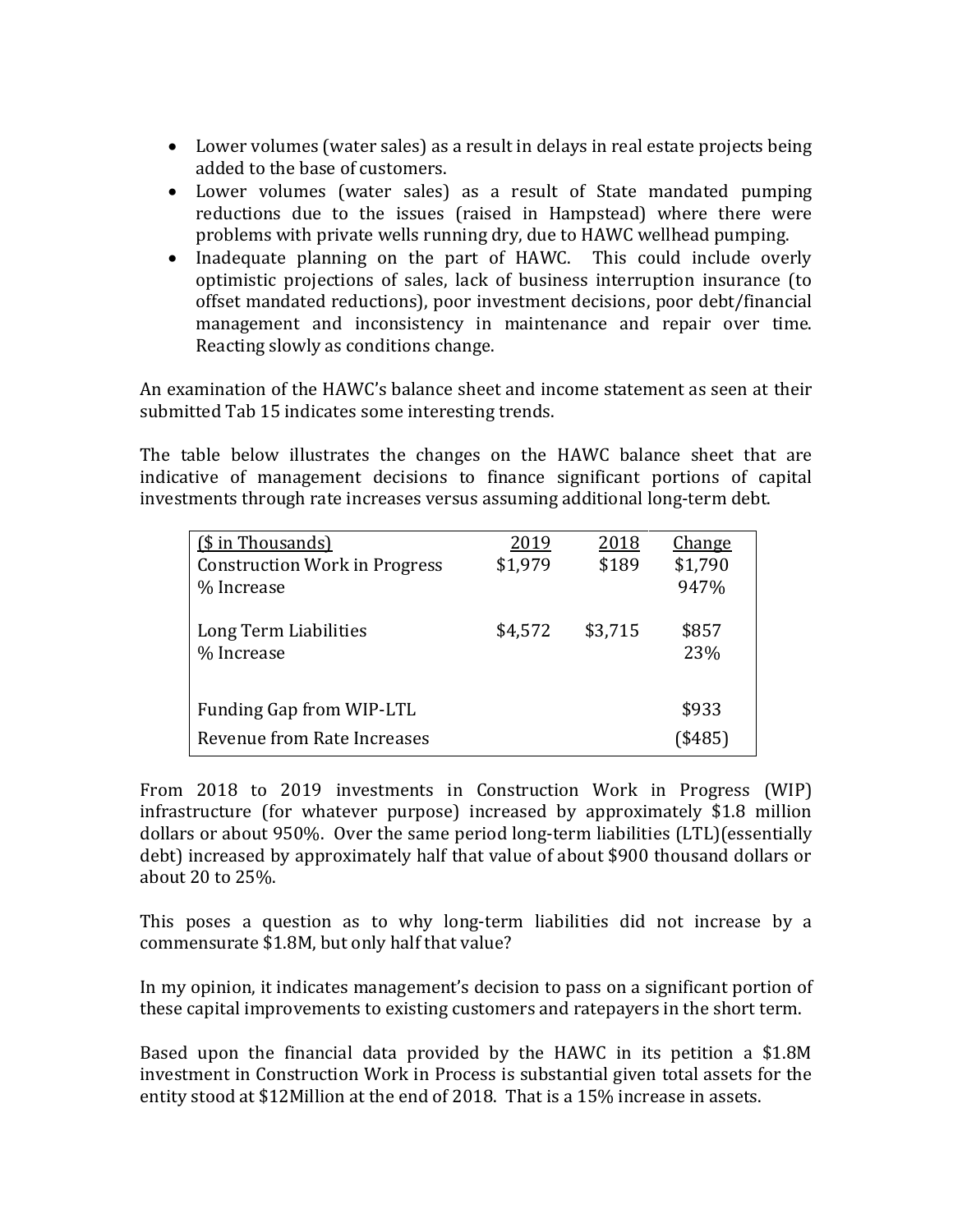- Lower volumes (water sales) as a result in delays in real estate projects being added to the base of customers.
- Lower volumes (water sales) as a result of State mandated pumping reductions due to the issues (raised in Hampstead) where there were problems with private wells running dry, due to HAWC wellhead pumping.
- Inadequate planning on the part of HAWC. This could include overly optimistic projections of sales, lack of business interruption insurance (to offset mandated reductions), poor investment decisions, poor debt/financial management and inconsistency in maintenance and repair over time. Reacting slowly as conditions change.

An examination of the HAWC's balance sheet and income statement as seen at their submitted Tab 15 indicates some interesting trends.

The table below illustrates the changes on the HAWC balance sheet that are indicative of management decisions to finance significant portions of capital investments through rate increases versus assuming additional long-term debt.

| (\$ in Thousands)                    | 2019    | 2018    | <b>Change</b> |
|--------------------------------------|---------|---------|---------------|
| <b>Construction Work in Progress</b> | \$1,979 | \$189   | \$1,790       |
| % Increase                           |         |         | 947%          |
|                                      |         |         |               |
| Long Term Liabilities                | \$4,572 | \$3,715 | \$857         |
| % Increase                           |         |         | 23%           |
|                                      |         |         |               |
| Funding Gap from WIP-LTL             |         |         | \$933         |
| Revenue from Rate Increases          |         |         | \$485)        |

From 2018 to 2019 investments in Construction Work in Progress (WIP) infrastructure (for whatever purpose) increased by approximately \$1.8 million dollars or about 950%. Over the same period long-term liabilities (LTL)(essentially debt) increased by approximately half that value of about \$900 thousand dollars or about 20 to 25%.

This poses a question as to why long-term liabilities did not increase by a commensurate \$1.8M, but only half that value?

In my opinion, it indicates management's decision to pass on a significant portion of these capital improvements to existing customers and ratepayers in the short term.

Based upon the financial data provided by the HAWC in its petition a \$1.8M investment in Construction Work in Process is substantial given total assets for the entity stood at \$12Million at the end of 2018. That is a 15% increase in assets.